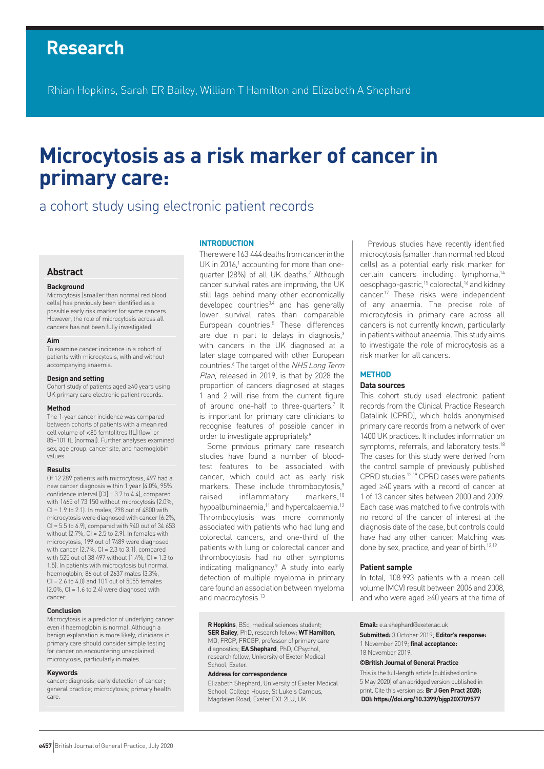# **Research**

Rhian Hopkins, Sarah ER Bailey, William T Hamilton and Elizabeth A Shephard

# **Microcytosis as a risk marker of cancer in primary care:**

# a cohort study using electronic patient records

# **Abstract**

#### **Background**

Microcytosis (smaller than normal red blood cells) has previously been identified as a possible early risk marker for some cancers. However, the role of microcytosis across all cancers has not been fully investigated.

#### **Aim**

To examine cancer incidence in a cohort of patients with microcytosis, with and without accompanying anaemia.

#### **Design and setting**

Cohort study of patients aged ≥40 years using UK primary care electronic patient records.

#### **Method**

The 1-year cancer incidence was compared between cohorts of patients with a mean red cell volume of <85 femtolitres (fL) (low) or 85–101 fL (normal). Further analyses examined sex, age group, cancer site, and haemoglobin values.

#### **Results**

Of 12 289 patients with microcytosis, 497 had a new cancer diagnosis within 1 year (4.0%, 95% confidence interval  $[Cl] = 3.7$  to 4.4), compared with 1465 of 73 150 without microcytosis (2.0%, CI = 1.9 to 2.1). In males, 298 out of 4800 with microcytosis were diagnosed with cancer (6.2%,  $Cl = 5.5$  to 6.9), compared with 940 out of 34 653 without  $(2.7\%$ , CI = 2.5 to 2.9). In females with microcytosis, 199 out of 7489 were diagnosed with cancer  $(2.7\% , C1 = 2.3$  to 3.1), compared with 525 out of 38 497 without (1.4%, CI = 1.3 to 1.5). In patients with microcytosis but normal haemoglobin, 86 out of 2637 males (3.3%,  $Cl = 2.6$  to 4.0) and 101 out of 5055 females  $(2.0\% , C = 1.6$  to 2.4) were diagnosed with cancer.

#### **Conclusion**

Microcytosis is a predictor of underlying cancer even if haemoglobin is normal. Although a benign explanation is more likely, clinicians in primary care should consider simple testing for cancer on encountering unexplained microcytosis, particularly in males.

#### **Keywords**

cancer; diagnosis; early detection of cancer; general practice; microcytosis; primary health care.

# **INTRODUCTION**

There were 163 444 deaths from cancer in the UK in 2016,<sup>1</sup> accounting for more than onequarter (28%) of all UK deaths.<sup>2</sup> Although cancer survival rates are improving, the UK still lags behind many other economically developed countries<sup>3,4</sup> and has generally lower survival rates than comparable European countries.5 These differences are due in part to delays in diagnosis, $3$ with cancers in the UK diagnosed at a later stage compared with other European countries.<sup>6</sup> The target of the NHS Long Term Plan, released in 2019, is that by 2028 the proportion of cancers diagnosed at stages 1 and 2 will rise from the current figure of around one-half to three-quarters.<sup>7</sup> It is important for primary care clinicians to recognise features of possible cancer in order to investigate appropriately.<sup>8</sup>

Some previous primary care research studies have found a number of bloodtest features to be associated with cancer, which could act as early risk markers. These include thrombocytosis,<sup>9</sup> raised inflammatory markers,10 hypoalbuminaemia,<sup>11</sup> and hypercalcaemia.<sup>12</sup> Thrombocytosis was more commonly associated with patients who had lung and colorectal cancers, and one-third of the patients with lung or colorectal cancer and thrombocytosis had no other symptoms indicating malignancy.<sup>9</sup> A study into early detection of multiple myeloma in primary care found an association between myeloma and macrocytosis.13

**R Hopkins**, BSc, medical sciences student; **SERBailey**, PhD, research fellow; **WT Hamilton**, MD, FRCP, FRCGP, professor of primary care diagnostics; **EA Shephard**, PhD, CPsychol, research fellow, University of Exeter Medical School, Exeter.

#### **Address for correspondence**

Elizabeth Shephard, University of Exeter Medical School, College House, St Luke's Campus, Magdalen Road, Exeter EX1 2LU, UK.

Previous studies have recently identified microcytosis (smaller than normal red blood cells) as a potential early risk marker for certain cancers including: lymphoma,14 oesophago-gastric,15 colorectal,16 and kidney cancer.<sup>17</sup> These risks were independent of any anaemia. The precise role of microcytosis in primary care across all cancers is not currently known, particularly in patients without anaemia. This study aims to investigate the role of microcytosis as a risk marker for all cancers.

# **METHOD**

# **Data sources**

This cohort study used electronic patient records from the Clinical Practice Research Datalink (CPRD), which holds anonymised primary care records from a network of over 1400 UK practices. It includes information on symptoms, referrals, and laboratory tests.<sup>18</sup> The cases for this study were derived from the control sample of previously published CPRD studies.12,19 CPRD cases were patients aged ≥40 years with a record of cancer at 1 of 13 cancer sites between 2000 and 2009. Each case was matched to five controls with no record of the cancer of interest at the diagnosis date of the case, but controls could have had any other cancer. Matching was done by sex, practice, and year of birth.<sup>12,19</sup>

# **Patient sample**

In total, 108 993 patients with a mean cell volume (MCV) result between 2006 and 2008, and who were aged ≥40 years at the time of

**Email:** e.a.shephard@exeter.ac.uk

**Submitted:** 3 October 2019; **Editor's response:** 1 November 2019; **final acceptance:**  18 November 2019.

#### **©British Journal of General Practice**

This is the full-length article (published online 5 May 2020) of an abridged version published in print. Cite this version as: **Br J Gen Pract 2020; DOI: https://doi.org/10.3399/bjgp20X709577**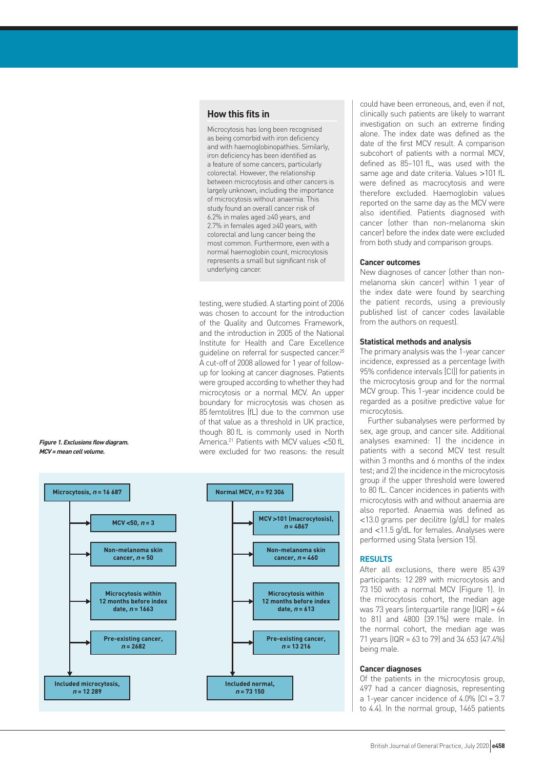# **How this fits in**

Microcytosis has long been recognised as being comorbid with iron deficiency and with haemoglobinopathies. Similarly, iron deficiency has been identified as a feature of some cancers, particularly colorectal. However, the relationship between microcytosis and other cancers is largely unknown, including the importance of microcytosis without anaemia. This study found an overall cancer risk of 6.2% in males aged ≥40 years, and 2.7% in females aged ≥40 years, with colorectal and lung cancer being the most common. Furthermore, even with a normal haemoglobin count, microcytosis represents a small but significant risk of underlying cancer.

testing, were studied. A starting point of 2006 was chosen to account for the introduction of the Quality and Outcomes Framework, and the introduction in 2005 of the National Institute for Health and Care Excellence guideline on referral for suspected cancer.20 A cut-off of 2008 allowed for 1 year of followup for looking at cancer diagnoses. Patients were grouped according to whether they had microcytosis or a normal MCV. An upper boundary for microcytosis was chosen as 85 femtolitres (fL) due to the common use of that value as a threshold in UK practice, though 80 fL is commonly used in North America.21 Patients with MCV values <50 fL were excluded for two reasons: the result



**Figure 1. Exclusions flow diagram. MCV <sup>=</sup> mean cell volume.**

could have been erroneous, and, even if not, clinically such patients are likely to warrant investigation on such an extreme finding alone. The index date was defined as the date of the first MCV result. A comparison subcohort of patients with a normal MCV, defined as 85–101 fL, was used with the same age and date criteria. Values >101 fL were defined as macrocytosis and were therefore excluded. Haemoglobin values reported on the same day as the MCV were also identified. Patients diagnosed with cancer (other than non-melanoma skin cancer) before the index date were excluded from both study and comparison groups.

#### **Cancer outcomes**

New diagnoses of cancer (other than nonmelanoma skin cancer) within 1 year of the index date were found by searching the patient records, using a previously published list of cancer codes (available from the authors on request).

# **Statistical methods and analysis**

The primary analysis was the 1-year cancer incidence, expressed as a percentage (with 95% confidence intervals [CI]) for patients in the microcytosis group and for the normal MCV group. This 1-year incidence could be regarded as a positive predictive value for microcytosis.

Further subanalyses were performed by sex, age group, and cancer site. Additional analyses examined: 1) the incidence in patients with a second MCV test result within 3 months and 6 months of the index test; and 2) the incidence in the microcytosis group if the upper threshold were lowered to 80 fL. Cancer incidences in patients with microcytosis with and without anaemia are also reported. Anaemia was defined as <13.0 grams per decilitre (g/dL) for males and <11.5 g/dL for females. Analyses were performed using Stata (version 15).

# **RESULTS**

After all exclusions, there were 85 439 participants: 12 289 with microcytosis and 73 150 with a normal MCV (Figure 1). In the microcytosis cohort, the median age was 73 years (interquartile range [IQR] = 64 to 81) and 4800 (39.1%) were male. In the normal cohort, the median age was 71 years (IQR = 63 to 79) and 34 653 (47.4%) being male.

# **Cancer diagnoses**

Of the patients in the microcytosis group, 497 had a cancer diagnosis, representing a 1-year cancer incidence of  $4.0\%$  [CI =  $3.7$ ] to 4.4). In the normal group, 1465 patients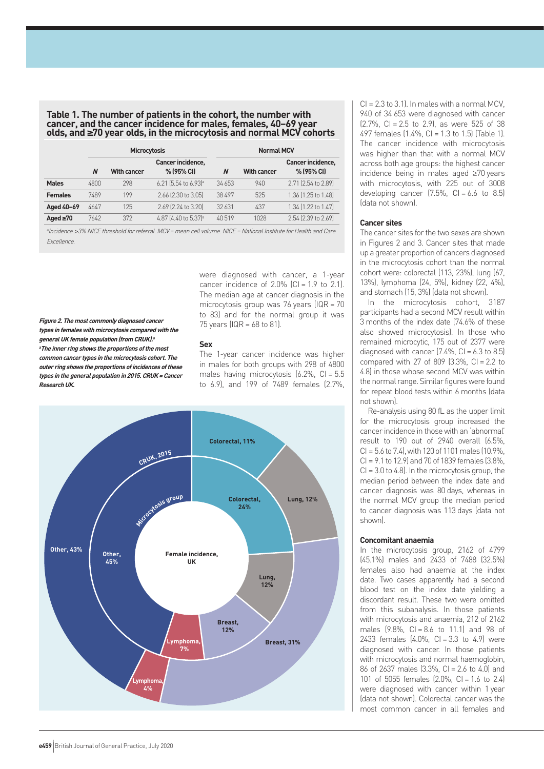#### **Table 1. The number of patients in the cohort, the number with cancer, and the cancer incidence for males, females, 40–69 year olds, and ≥70 year olds, in the microcytosis and normal MCV cohorts**

|                | <b>Microcytosis</b> |                    |                                  | <b>Normal MCV</b> |                    |                                 |
|----------------|---------------------|--------------------|----------------------------------|-------------------|--------------------|---------------------------------|
|                | N                   | <b>With cancer</b> | Cancer incidence,<br>% (95% CI)  | N                 | <b>With cancer</b> | Cancer incidence,<br>% (95% CI) |
| <b>Males</b>   | 4800                | 298                | 6.21 (5.54 to 6.93) <sup>a</sup> | 34 653            | 940                | 2.71 (2.54 to 2.89)             |
| <b>Females</b> | 7489                | 199                | 2.66 (2.30 to 3.05)              | 38 497            | 525                | 1.36 (1.25 to 1.48)             |
| Aged 40-69     | 4647                | 125                | 2.69 (2.24 to 3.20)              | 32 631            | 437                | 1.34 [1.22 to 1.47]             |
| Aged $\geq 70$ | 7642                | 372                | 4.87 (4.40 to 5.37) <sup>a</sup> | 40.519            | 1028               | 2.54 (2.39 to 2.69)             |

<sup>a</sup>Incidence >3% NICE threshold for referral. MCV = mean cell volume. NICE = National Institute for Health and Care Excellence.

**Figure 2. The most commonly diagnosed cancer types in females with microcytosis compared with the general UK female population (from CRUK).<sup>a</sup> <sup>a</sup>The inner ring shows the proportions of the most common cancer types in the microcytosis cohort. The outer ring shows the proportions of incidences of these types in the general population in 2015. CRUK=Cancer Research UK.**

were diagnosed with cancer, a 1-year cancer incidence of  $2.0\%$  (CI = 1.9 to 2.1). The median age at cancer diagnosis in the microcytosis group was 76 years (IQR = 70 to 83) and for the normal group it was 75 years (IQR = 68 to 81).

# **Sex**

The 1-year cancer incidence was higher in males for both groups with 298 of 4800 males having microcytosis  $(6.2\% , C = 5.5$ to 6.9), and 199 of 7489 females (2.7%,



CI = 2.3 to 3.1). In males with a normal MCV, 940 of 34 653 were diagnosed with cancer  $[2.7\%$ , CI = 2.5 to 2.9), as were 525 of 38 497 females (1.4%, CI = 1.3 to 1.5) (Table 1). The cancer incidence with microcytosis was higher than that with a normal MCV across both age groups: the highest cancer incidence being in males aged ≥70 years with microcytosis, with 225 out of 3008 developing cancer  $(7.5\% , C = 6.6 \text{ to } 8.5)$ (data not shown).

# **Cancer sites**

The cancer sites for the two sexes are shown in Figures 2 and 3. Cancer sites that made up a greater proportion of cancers diagnosed in the microcytosis cohort than the normal cohort were: colorectal (113, 23%), lung (67, 13%), lymphoma (24, 5%), kidney (22, 4%), and stomach (15, 3%) (data not shown).

In the microcytosis cohort, 3187 participants had a second MCV result within 3 months of the index date (74.6% of these also showed microcytosis). In those who remained microcytic, 175 out of 2377 were diagnosed with cancer  $(7.4\% , C = 6.3 \text{ to } 8.5)$ compared with 27 of 809  $(3.3\% \text{ C}) = 2.2 \text{ to}$ 4.8) in those whose second MCV was within the normal range. Similar figures were found for repeat blood tests within 6 months (data not shown).

Re-analysis using 80 fL as the upper limit for the microcytosis group increased the cancer incidence in those with an 'abnormal' result to 190 out of 2940 overall (6.5%, CI = 5.6 to 7.4), with 120 of 1101 males (10.9%, CI = 9.1 to 12.9) and 70 of 1839 females (3.8%,  $Cl = 3.0$  to 4.8). In the microcytosis group, the median period between the index date and cancer diagnosis was 80 days, whereas in the normal MCV group the median period to cancer diagnosis was 113 days (data not shown).

#### **Concomitant anaemia**

In the microcytosis group, 2162 of 4799 (45.1%) males and 2433 of 7488 (32.5%) females also had anaemia at the index date. Two cases apparently had a second blood test on the index date yielding a discordant result. These two were omitted from this subanalysis. In those patients with microcytosis and anaemia, 212 of 2162 males (9.8%, CI = 8.6 to 11.1) and 98 of 2433 females  $(4.0\% , C1 = 3.3$  to 4.9) were diagnosed with cancer. In those patients with microcytosis and normal haemoglobin, 86 of 2637 males (3.3%, CI = 2.6 to 4.0) and 101 of 5055 females (2.0%, CI = 1.6 to 2.4) were diagnosed with cancer within 1 year (data not shown). Colorectal cancer was the most common cancer in all females and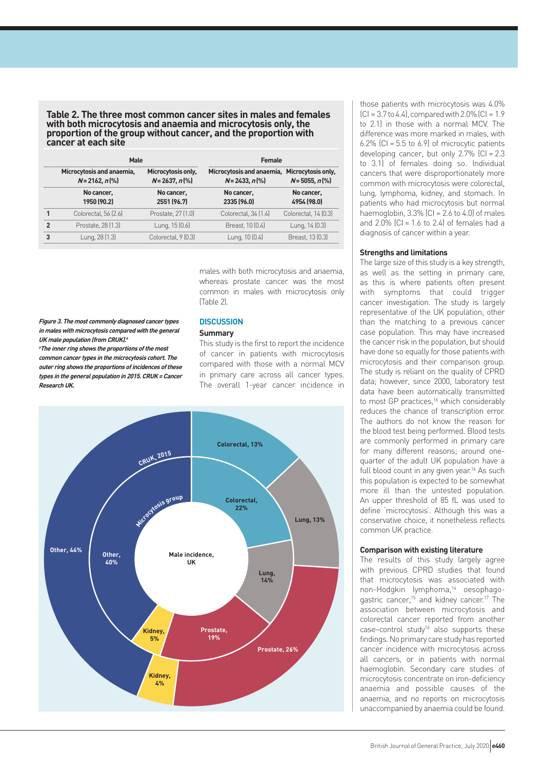#### **Table 2. The three most common cancer sites in males and females with both microcytosis and anaemia and microcytosis only, the proportion of the group without cancer, and the proportion with cancer at each site**

|                | Male                                           |                                         | Female                                         |                                         |  |
|----------------|------------------------------------------------|-----------------------------------------|------------------------------------------------|-----------------------------------------|--|
|                | Microcytosis and anaemia,<br>$N = 2162, n$ (%) | Microcytosis only,<br>$N = 2637, n$ (%) | Microcytosis and anaemia,<br>$N = 2433, n$ (%) | Microcytosis only,<br>$N = 5055, n$ (%) |  |
|                | No cancer,<br>1950 (90.2)                      | No cancer,<br>2551 (96.7)               | No cancer,<br>2335 (96.0)                      | No cancer,<br>4954 (98.0)               |  |
|                | Colorectal, 56 (2.6)                           | Prostate, 27 (1.0)                      | Colorectal, 34 (1.4)                           | Colorectal, 14 (0.3)                    |  |
| $\overline{2}$ | Prostate, 28 (1.3)                             | Lung, 15 (0.6)                          | Breast, 10 (0.4)                               | Lung, 14 (0.3)                          |  |
| 3              | Lung, 28 (1.3)                                 | Colorectal, 9 [0.3]                     | Lung, 10 (0.4)                                 | Breast, 13 (0.3)                        |  |
|                |                                                |                                         |                                                |                                         |  |

males with both microcytosis and anaemia, whereas prostate cancer was the most common in males with microcytosis only (Table 2).

**Figure 3. The most commonly diagnosed cancer types in males with microcytosis compared with the general UK male population (from CRUK).<sup>a</sup>**

**<sup>a</sup>The inner ring shows the proportions of the most common cancer types in the microcytosis cohort. The outer ring shows the proportions of incidences of these types in the general population in 2015. CRUK=Cancer Research UK.**

# **DISCUSSION**

# **Summary**

This study is the first to report the incidence of cancer in patients with microcytosis compared with those with a normal MCV in primary care across all cancer types. The overall 1-year cancer incidence in



those patients with microcytosis was 4.0%  $|C| = 3.7$  to 4.4, compared with  $2.0\%$   $|C| = 1.9$ to 2.1) in those with a normal MCV. The difference was more marked in males, with 6.2%  $[CI = 5.5$  to 6.9] of microcytic patients developing cancer, but only  $2.7\%$  (CI =  $2.3$ to 3.1) of females doing so. Individual cancers that were disproportionately more common with microcytosis were colorectal, lung, lymphoma, kidney, and stomach. In patients who had microcytosis but normal haemoglobin,  $3.3\%$  (CI = 2.6 to 4.0) of males and  $2.0\%$  (CI = 1.6 to 2.4) of females had a diagnosis of cancer within a year.

# **Strengths and limitations**

The large size of this study is a key strength, as well as the setting in primary care, as this is where patients often present with symptoms that could trigger cancer investigation. The study is largely representative of the UK population, other than the matching to a previous cancer case population. This may have increased the cancer risk in the population, but should have done so equally for those patients with microcytosis and their comparison group. The study is reliant on the quality of CPRD data; however, since 2000, laboratory test data have been automatically transmitted to most GP practices,<sup>16</sup> which considerably reduces the chance of transcription error. The authors do not know the reason for the blood test being performed. Blood tests are commonly performed in primary care for many different reasons; around onequarter of the adult UK population have a full blood count in any given year.<sup>16</sup> As such this population is expected to be somewhat more ill than the untested population. An upper threshold of 85 fL was used to define 'microcytosis'. Although this was a conservative choice, it nonetheless reflects common UK practice.

# **Comparison with existing literature**

The results of this study largely agree with previous CPRD studies that found that microcytosis was associated with non-Hodgkin lymphoma,14 oesophagogastric cancer,15 and kidney cancer.17 The association between microcytosis and colorectal cancer reported from another case–control study<sup>16</sup> also supports these findings. No primary care study has reported cancer incidence with microcytosis across all cancers, or in patients with normal haemoglobin. Secondary care studies of microcytosis concentrate on iron-deficiency anaemia and possible causes of the anaemia, and no reports on microcytosis unaccompanied by anaemia could be found.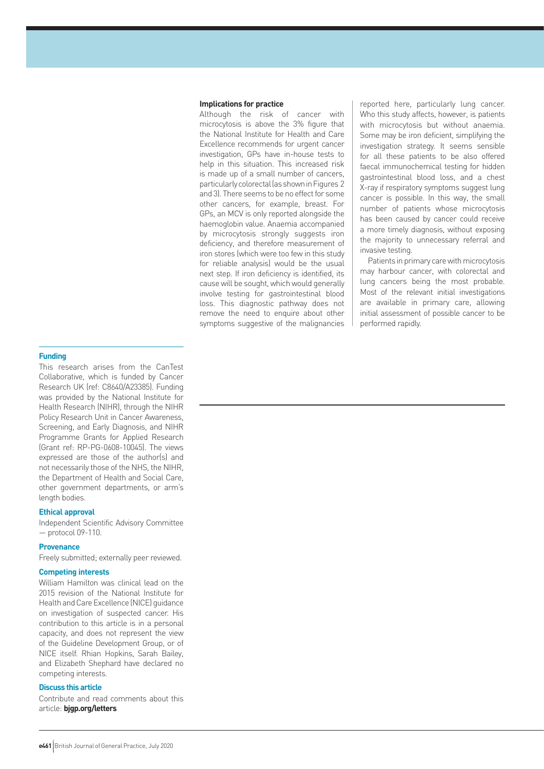#### **Implications for practice**

Although the risk of cancer with microcytosis is above the 3% figure that the National Institute for Health and Care Excellence recommends for urgent cancer investigation, GPs have in-house tests to help in this situation. This increased risk is made up of a small number of cancers, particularly colorectal (as shown in Figures 2 and 3). There seems to be no effect for some other cancers, for example, breast. For GPs, an MCV is only reported alongside the haemoglobin value. Anaemia accompanied by microcytosis strongly suggests iron deficiency, and therefore measurement of iron stores (which were too few in this study for reliable analysis) would be the usual next step. If iron deficiency is identified, its cause will be sought, which would generally involve testing for gastrointestinal blood loss. This diagnostic pathway does not remove the need to enquire about other symptoms suggestive of the malignancies

reported here, particularly lung cancer. Who this study affects, however, is patients with microcytosis but without anaemia. Some may be iron deficient, simplifying the investigation strategy. It seems sensible for all these patients to be also offered faecal immunochemical testing for hidden gastrointestinal blood loss, and a chest X-ray if respiratory symptoms suggest lung cancer is possible. In this way, the small number of patients whose microcytosis has been caused by cancer could receive a more timely diagnosis, without exposing the majority to unnecessary referral and invasive testing.

Patients in primary care with microcytosis may harbour cancer, with colorectal and lung cancers being the most probable. Most of the relevant initial investigations are available in primary care, allowing initial assessment of possible cancer to be performed rapidly.

#### **Funding**

This research arises from the CanTest Collaborative, which is funded by Cancer Research UK (ref: C8640/A23385). Funding was provided by the National Institute for Health Research (NIHR), through the NIHR Policy Research Unit in Cancer Awareness, Screening, and Early Diagnosis, and NIHR Programme Grants for Applied Research (Grant ref: RP-PG-0608-10045). The views expressed are those of the author(s) and not necessarily those of the NHS, the NIHR, the Department of Health and Social Care, other government departments, or arm's length bodies.

#### **Ethical approval**

Independent Scientific Advisory Committee — protocol 09-110.

#### **Provenance**

Freely submitted; externally peer reviewed.

# **Competing interests**

William Hamilton was clinical lead on the 2015 revision of the National Institute for Health and Care Excellence (NICE) guidance on investigation of suspected cancer. His contribution to this article is in a personal capacity, and does not represent the view of the Guideline Development Group, or of NICE itself. Rhian Hopkins, Sarah Bailey, and Elizabeth Shephard have declared no competing interests.

# **Discuss this article**

Contribute and read comments about this article: **bjgp.org/letters**